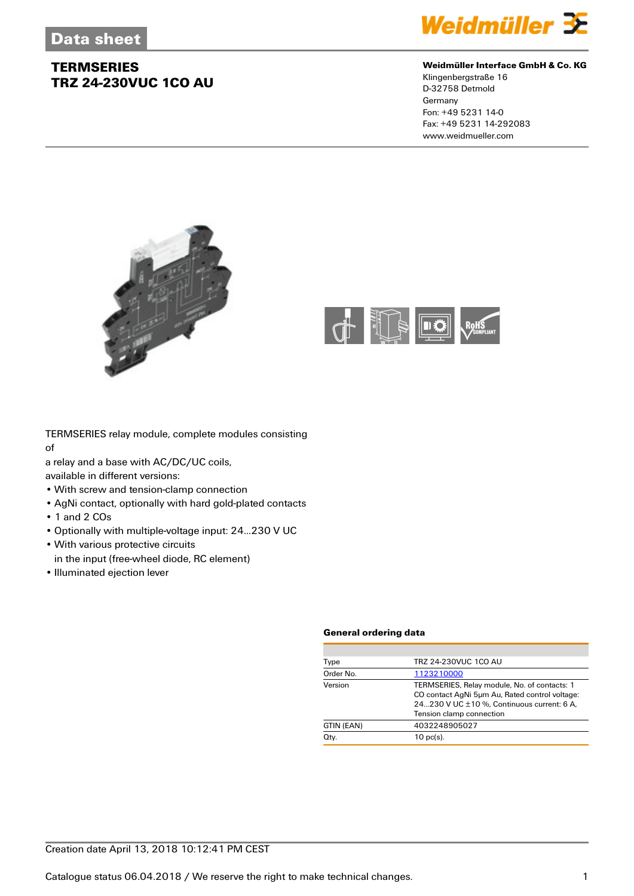

#### **Weidmüller Interface GmbH & Co. KG**

Klingenbergstraße 16 D-32758 Detmold Germany Fon: +49 5231 14-0 Fax: +49 5231 14-292083 www.weidmueller.com





TERMSERIES relay module, complete modules consisting of

a relay and a base with AC/DC/UC coils,

available in different versions:

- With screw and tension-clamp connection
- AgNi contact, optionally with hard gold-plated contacts
- 1 and 2 COs
- Optionally with multiple-voltage input: 24...230 V UC
- With various protective circuits
- in the input (free-wheel diode, RC element)
- Illuminated ejection lever

#### **General ordering data**

| Type       | TRZ 24-230VUC 1CO AU                                                                                                                                                     |
|------------|--------------------------------------------------------------------------------------------------------------------------------------------------------------------------|
| Order No.  | 1123210000                                                                                                                                                               |
| Version    | TERMSERIES, Relay module, No. of contacts: 1<br>CO contact AgNi 5um Au, Rated control voltage:<br>24230 V UC ±10 %. Continuous current: 6 A.<br>Tension clamp connection |
| GTIN (EAN) | 4032248905027                                                                                                                                                            |
| Qty.       | $10$ pc(s).                                                                                                                                                              |
|            |                                                                                                                                                                          |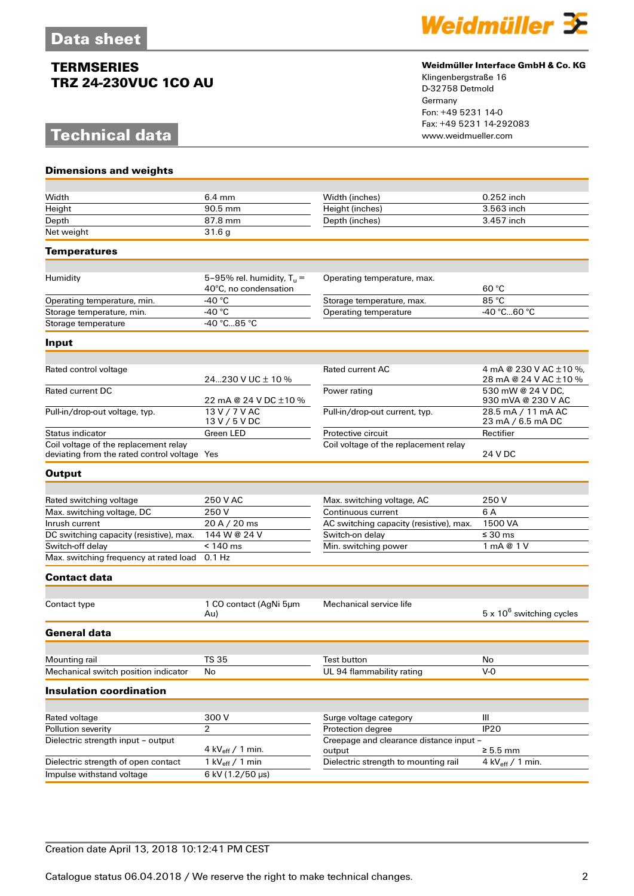# **Technical data**

**Dimensions and weights**



#### **Weidmüller Interface GmbH & Co. KG**

Klingenbergstraße 16 D-32758 Detmold Germany Fon: +49 5231 14-0 Fax: +49 5231 14-292083

| Width                                                                                 | $6.4 \text{ mm}$                                      | Width (inches)                                               | $0.252$ inch                                    |
|---------------------------------------------------------------------------------------|-------------------------------------------------------|--------------------------------------------------------------|-------------------------------------------------|
| Height                                                                                | 90.5 mm                                               | Height (inches)                                              | 3.563 inch                                      |
| Depth                                                                                 | 87.8 mm                                               | Depth (inches)                                               | 3.457 inch                                      |
| Net weight                                                                            | 31.6g                                                 |                                                              |                                                 |
| Temperatures                                                                          |                                                       |                                                              |                                                 |
|                                                                                       |                                                       |                                                              |                                                 |
| Humidity                                                                              | 5-95% rel. humidity, $T_u =$<br>40°C, no condensation | Operating temperature, max.                                  | 60 °C                                           |
| Operating temperature, min.                                                           | $-40^{\circ}$ C                                       | Storage temperature, max.                                    | 85 °C                                           |
| Storage temperature, min.                                                             | -40 $^{\circ}$ C                                      | Operating temperature                                        | -40 °C60 °C                                     |
| Storage temperature                                                                   | -40 °C85 °C                                           |                                                              |                                                 |
| Input                                                                                 |                                                       |                                                              |                                                 |
|                                                                                       |                                                       |                                                              |                                                 |
| Rated control voltage                                                                 | 24230 V UC $\pm$ 10 %                                 | <b>Rated current AC</b>                                      | 4 mA @ 230 V AC ±10 %,<br>28 mA @ 24 V AC ±10 % |
| <b>Rated current DC</b>                                                               | 22 mA @ 24 V DC ±10 %                                 | Power rating                                                 | 530 mW @ 24 V DC.<br>930 mVA @ 230 V AC         |
| Pull-in/drop-out voltage, typ.                                                        | 13 V / 7 V AC<br>13 V / 5 V DC                        | Pull-in/drop-out current, typ.                               | 28.5 mA / 11 mA AC<br>23 mA / 6.5 mA DC         |
| Status indicator                                                                      | Green LED                                             | Protective circuit                                           | Rectifier                                       |
| Coil voltage of the replacement relay<br>deviating from the rated control voltage Yes |                                                       | Coil voltage of the replacement relay                        | 24 V DC                                         |
| <b>Output</b>                                                                         |                                                       |                                                              |                                                 |
|                                                                                       |                                                       |                                                              | 250 V                                           |
| Rated switching voltage<br>Max. switching voltage, DC                                 | 250 V AC<br>250 V                                     | Max. switching voltage, AC<br>Continuous current             | 6 A                                             |
| Inrush current                                                                        | 20 A / 20 ms                                          | AC switching capacity (resistive), max.                      | 1500 VA                                         |
| DC switching capacity (resistive), max.                                               | 144 W @ 24 V                                          | Switch-on delay                                              | $\leq 30$ ms                                    |
| Switch-off delay                                                                      | $< 140$ ms                                            | Min. switching power                                         | 1 mA @ 1 V                                      |
| Max. switching frequency at rated load                                                | $0.1$ Hz                                              |                                                              |                                                 |
| Contact data                                                                          |                                                       |                                                              |                                                 |
|                                                                                       |                                                       |                                                              |                                                 |
| Contact type                                                                          | 1 CO contact (AgNi 5um<br>Au)                         | Mechanical service life                                      | $5 \times 10^6$ switching cycles                |
| <b>General data</b>                                                                   |                                                       |                                                              |                                                 |
|                                                                                       |                                                       |                                                              |                                                 |
| Mounting rail                                                                         | TS 35                                                 | Test button                                                  | No                                              |
| Mechanical switch position indicator                                                  | No                                                    | UL 94 flammability rating                                    | $V-0$                                           |
| <b>Insulation coordination</b>                                                        |                                                       |                                                              |                                                 |
|                                                                                       |                                                       |                                                              |                                                 |
| Rated voltage                                                                         | 300 V<br>$\overline{2}$                               | Surge voltage category                                       | Ш<br><b>IP20</b>                                |
| Pollution severity<br>Dielectric strength input - output                              |                                                       | Protection degree<br>Creepage and clearance distance input - |                                                 |
|                                                                                       | 4 kV $_{\text{eff}}$ / 1 min.                         | output                                                       | $\geq 5.5$ mm                                   |
| Dielectric strength of open contact                                                   | 1 kV $_{\text{eff}}$ / 1 min                          | Dielectric strength to mounting rail                         | 4 kV $_{\text{eff}}$ / 1 min.                   |
| Impulse withstand voltage                                                             | 6 kV (1.2/50 µs)                                      |                                                              |                                                 |

### Creation date April 13, 2018 10:12:41 PM CEST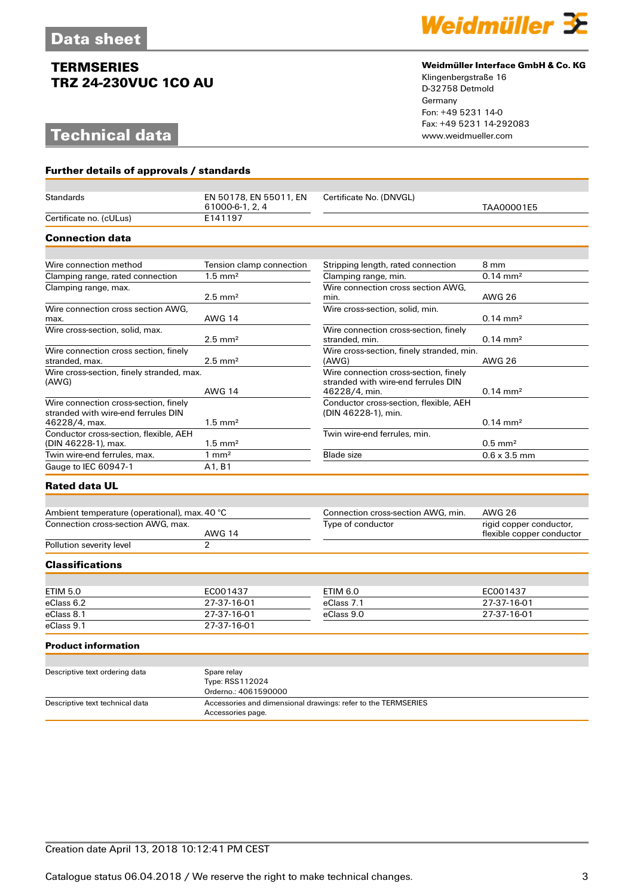**Further details of approvals / standards**

# **Technical data**



#### **Weidmüller Interface GmbH & Co. KG**

Klingenbergstraße 16 D-32758 Detmold Germany Fon: +49 5231 14-0 Fax: +49 5231 14-292083

| <b>Standards</b>                                                             | EN 50178, EN 55011, EN<br>61000-6-1, 2, 4              | Certificate No. (DNVGL)                                                                       | TAA00001E5                                           |
|------------------------------------------------------------------------------|--------------------------------------------------------|-----------------------------------------------------------------------------------------------|------------------------------------------------------|
| Certificate no. (cULus)                                                      | E141197                                                |                                                                                               |                                                      |
| <b>Connection data</b>                                                       |                                                        |                                                                                               |                                                      |
|                                                                              |                                                        |                                                                                               |                                                      |
| Wire connection method                                                       | Tension clamp connection                               | Stripping length, rated connection                                                            | 8 mm                                                 |
| Clamping range, rated connection                                             | $1.5 \text{ mm}^2$                                     | Clamping range, min.                                                                          | $0.14 \, \text{mm}^2$                                |
| Clamping range, max.                                                         | $2.5 \text{ mm}^2$                                     | Wire connection cross section AWG.<br>min.                                                    | <b>AWG 26</b>                                        |
| Wire connection cross section AWG.<br>max.                                   | <b>AWG 14</b>                                          | Wire cross-section, solid, min.                                                               | $0.14 \text{ mm}^2$                                  |
| Wire cross-section, solid, max.                                              | $2.5 \text{ mm}^2$                                     | Wire connection cross-section, finely<br>stranded, min.                                       | $0.14 \text{ mm}^2$                                  |
| Wire connection cross section, finely<br>stranded, max.                      | $2.5 \text{ mm}^2$                                     | Wire cross-section, finely stranded, min.<br>(AWG)                                            | <b>AWG 26</b>                                        |
| Wire cross-section, finely stranded, max.<br>(AWG)                           | <b>AWG 14</b>                                          | Wire connection cross-section, finely<br>stranded with wire-end ferrules DIN<br>46228/4, min. | $0.14 \text{ mm}^2$                                  |
| Wire connection cross-section, finely<br>stranded with wire-end ferrules DIN |                                                        | Conductor cross-section, flexible, AEH<br>(DIN 46228-1), min.                                 |                                                      |
| 46228/4, max.                                                                | $1.5 \text{ mm}^2$                                     |                                                                                               | $0.14 \text{ mm}^2$                                  |
| Conductor cross-section, flexible, AEH<br>(DIN 46228-1), max.                | $1.5 \text{ mm}^2$                                     | Twin wire-end ferrules, min.                                                                  | $0.5$ mm <sup>2</sup>                                |
| Twin wire-end ferrules, max.                                                 | $1 \text{ mm}^2$                                       | <b>Blade size</b>                                                                             | $0.6 \times 3.5$ mm                                  |
| Gauge to IEC 60947-1                                                         | A1, B1                                                 |                                                                                               |                                                      |
| <b>Rated data UL</b>                                                         |                                                        |                                                                                               |                                                      |
| Ambient temperature (operational), max. 40 °C                                |                                                        | Connection cross-section AWG, min.                                                            | <b>AWG 26</b>                                        |
| Connection cross-section AWG, max.                                           | <b>AWG 14</b>                                          | Type of conductor                                                                             | rigid copper conductor,<br>flexible copper conductor |
| Pollution severity level                                                     | $\mathcal{P}$                                          |                                                                                               |                                                      |
| <b>Classifications</b>                                                       |                                                        |                                                                                               |                                                      |
|                                                                              |                                                        |                                                                                               |                                                      |
| <b>ETIM 5.0</b>                                                              | EC001437                                               | <b>ETIM 6.0</b>                                                                               | EC001437                                             |
| eClass 6.2                                                                   | 27-37-16-01                                            | eClass 7.1                                                                                    | 27-37-16-01                                          |
| eClass 8.1                                                                   | 27-37-16-01                                            | eClass 9.0                                                                                    | 27-37-16-01                                          |
| eClass 9.1                                                                   | 27-37-16-01                                            |                                                                                               |                                                      |
| <b>Product information</b>                                                   |                                                        |                                                                                               |                                                      |
|                                                                              |                                                        |                                                                                               |                                                      |
| Descriptive text ordering data                                               | Spare relay<br>Type: RSS112024<br>Orderno.: 4061590000 |                                                                                               |                                                      |

Descriptive text technical data Accessories and dimensional drawings: refer to the TERMSERIES Accessories page.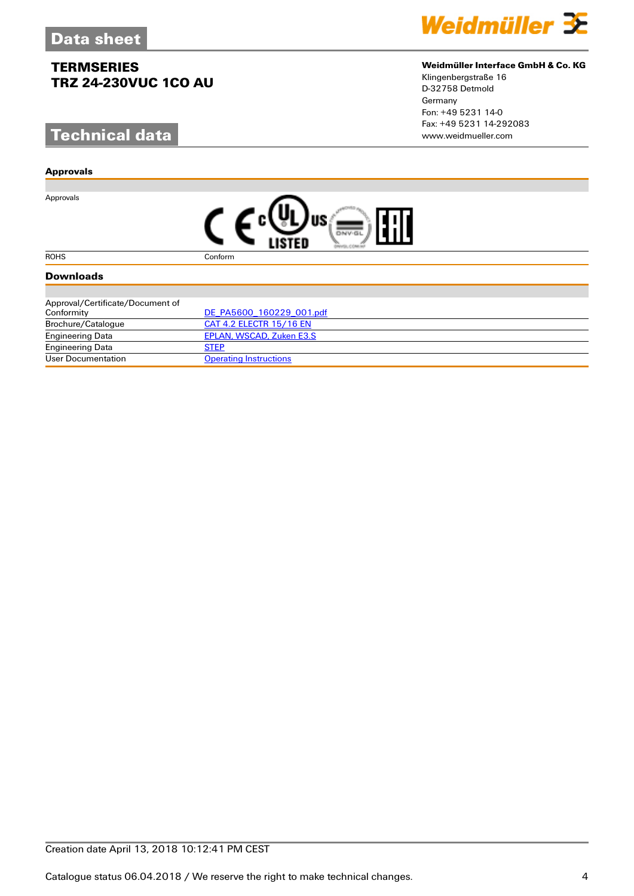# **Technical data**

#### **Approvals**

Approvals



#### **Weidmüller Interface GmbH & Co. KG**

Klingenbergstraße 16 D-32758 Detmold Germany Fon: +49 5231 14-0 Fax: +49 5231 14-292083

| 扣 |
|---|
|---|

#### ROHS Conform

#### **Downloads**

| Approval/Certificate/Document of |                               |
|----------------------------------|-------------------------------|
| Conformity                       | DE PA5600 160229 001.pdf      |
| Brochure/Catalogue               | CAT 4.2 ELECTR 15/16 EN       |
| <b>Engineering Data</b>          | EPLAN, WSCAD, Zuken E3.S      |
| <b>Engineering Data</b>          | <b>STEP</b>                   |
| User Documentation               | <b>Operating Instructions</b> |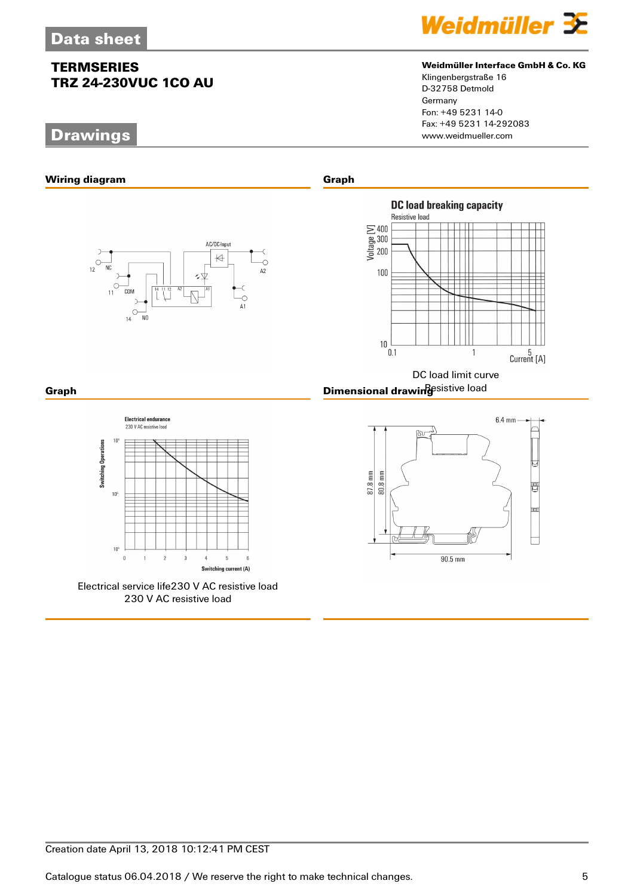# **Drawings**







#### **Weidmüller Interface GmbH & Co. KG**

Klingenbergstraße 16 D-32758 Detmold Germany Fon: +49 5231 14-0 Fax: +49 5231 14-292083



**Electrical endurance** 230 V AC resistive load  $10$ **Switching Operations**  $10<sup>5</sup>$  $10<sup>6</sup>$  $\overline{a}$  $\overline{3}$  $\overline{4}$  $\overline{5}$  $\mathbf{g}$  $\overline{2}$ Switching current (A)

Electrical service life230 V AC resistive load 230 V AC resistive load

DC load limit curve **Graph** Resistive load **Dimensional drawing**